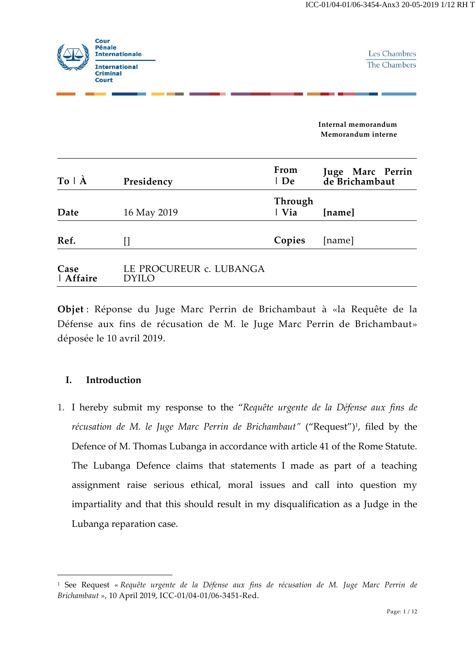

Les Chambres The Chambers

**Internal memorandum Memorandum interne**

| $To \hat{A}$      | Presidency                              | From<br>  De     | Juge Marc Perrin<br>de Brichambaut |
|-------------------|-----------------------------------------|------------------|------------------------------------|
| Date              | 16 May 2019                             | Through<br>  Via | [name]                             |
| Ref.              | П                                       | Copies           | [name]                             |
| Case<br>  Affaire | LE PROCUREUR c. LUBANGA<br><b>DYILO</b> |                  |                                    |

**Objet** : Réponse du Juge Marc Perrin de Brichambaut à «la Requête de la Défense aux fins de récusation de M. le Juge Marc Perrin de Brichambaut» déposée le 10 avril 2019.

## **I. Introduction**

-

1. I hereby submit my response to the "*Requête urgente de la Défense aux fins de*  récusation de M. le Juge Marc Perrin de Brichambaut" ("Request")<sup>1</sup>, filed by the Defence of M. Thomas Lubanga in accordance with article 41 of the Rome Statute. The Lubanga Defence claims that statements I made as part of a teaching assignment raise serious ethical, moral issues and call into question my impartiality and that this should result in my disqualification as a Judge in the Lubanga reparation case.

<sup>1</sup> See Request « *Requête urgente de la Défense aux fins de récusation de M. Juge Marc Perrin de Brichambaut* », 10 April 2019, ICC-01/04-01/06-3451-Red.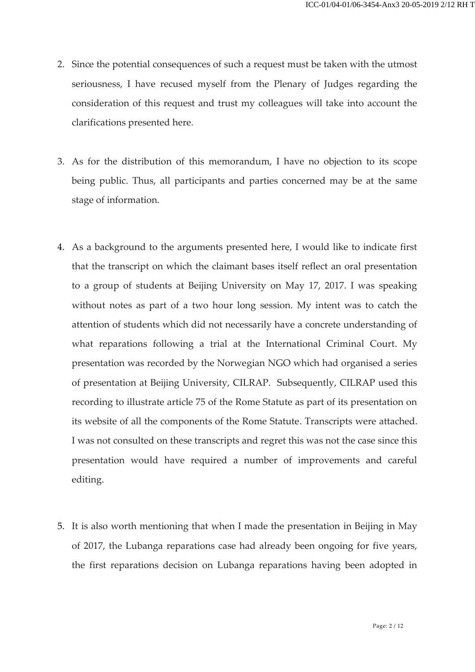- 2. Since the potential consequences of such a request must be taken with the utmost seriousness, I have recused myself from the Plenary of Judges regarding the consideration of this request and trust my colleagues will take into account the clarifications presented here.
- 3. As for the distribution of this memorandum, I have no objection to its scope being public. Thus, all participants and parties concerned may be at the same stage of information.
- 4. As a background to the arguments presented here, I would like to indicate first that the transcript on which the claimant bases itself reflect an oral presentation to a group of students at Beijing University on May 17, 2017. I was speaking without notes as part of a two hour long session. My intent was to catch the attention of students which did not necessarily have a concrete understanding of what reparations following a trial at the International Criminal Court. My presentation was recorded by the Norwegian NGO which had organised a series of presentation at Beijing University, CILRAP. Subsequently, CILRAP used this recording to illustrate article 75 of the Rome Statute as part of its presentation on its website of all the components of the Rome Statute. Transcripts were attached. I was not consulted on these transcripts and regret this was not the case since this presentation would have required a number of improvements and careful editing.
- 5. It is also worth mentioning that when I made the presentation in Beijing in May of 2017, the Lubanga reparations case had already been ongoing for five years, the first reparations decision on Lubanga reparations having been adopted in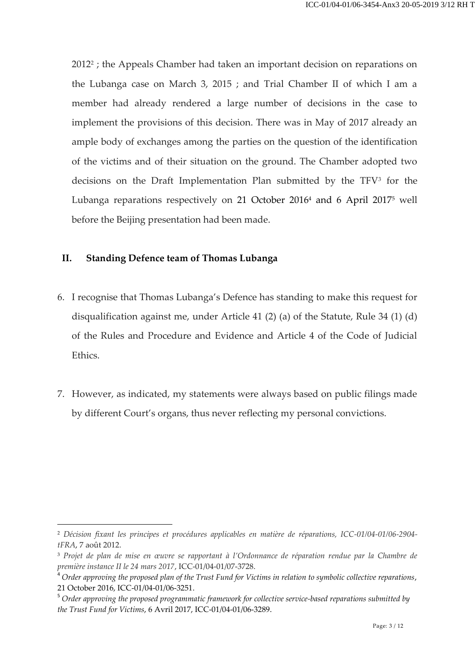2012<sup>2</sup> ; the Appeals Chamber had taken an important decision on reparations on the Lubanga case on March 3, 2015 ; and Trial Chamber II of which I am a member had already rendered a large number of decisions in the case to implement the provisions of this decision. There was in May of 2017 already an ample body of exchanges among the parties on the question of the identification of the victims and of their situation on the ground. The Chamber adopted two decisions on the Draft Implementation Plan submitted by the TFV<sup>3</sup> for the Lubanga reparations respectively on 21 October 2016<sup>4</sup> and 6 April 2017<sup>5</sup> well before the Beijing presentation had been made.

# **II. Standing Defence team of Thomas Lubanga**

- 6. I recognise that Thomas Lubanga's Defence has standing to make this request for disqualification against me, under Article 41 (2) (a) of the Statute, Rule 34 (1) (d) of the Rules and Procedure and Evidence and Article 4 of the Code of Judicial Ethics.
- 7. However, as indicated, my statements were always based on public filings made by different Court's organs, thus never reflecting my personal convictions.

<sup>2</sup> *Décision fixant les principes et procédures applicables en matière de réparations, ICC-01/04-01/06-2904 tFRA*, 7 août 2012.

<sup>3</sup> *Projet de plan de mise en œuvre se rapportant à l'Ordonnance de réparation rendue par la Chambre de première instance II le 24 mars 2017*, ICC-01/04-01/07-3728.

<sup>4</sup> *Order approving the proposed plan of the Trust Fund for Victims in relation to symbolic collective reparations*, 21 October 2016, ICC-01/04-01/06-3251.

<sup>5</sup> *Order approving the proposed programmatic framework for collective service-based reparations submitted by the Trust Fund for Victims*, 6 Avril 2017, ICC-01/04-01/06-3289.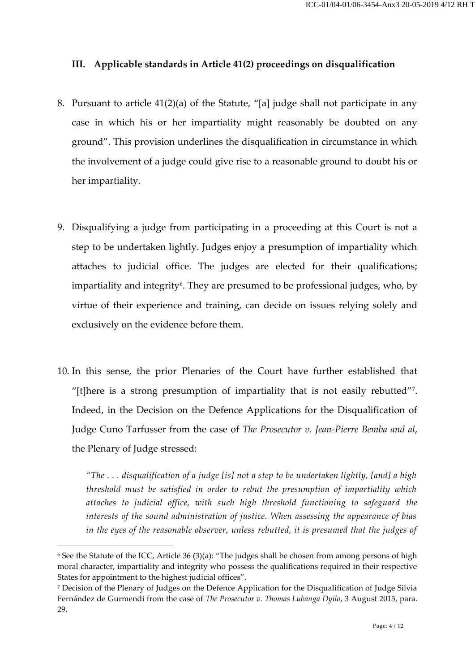## **III. Applicable standards in Article 41(2) proceedings on disqualification**

- 8. Pursuant to article 41(2)(a) of the Statute, "[a] judge shall not participate in any case in which his or her impartiality might reasonably be doubted on any ground". This provision underlines the disqualification in circumstance in which the involvement of a judge could give rise to a reasonable ground to doubt his or her impartiality.
- 9. Disqualifying a judge from participating in a proceeding at this Court is not a step to be undertaken lightly. Judges enjoy a presumption of impartiality which attaches to judicial office. The judges are elected for their qualifications; impartiality and integrity<sup>6</sup>. They are presumed to be professional judges, who, by virtue of their experience and training, can decide on issues relying solely and exclusively on the evidence before them.
- 10. In this sense, the prior Plenaries of the Court have further established that "[t]here is a strong presumption of impartiality that is not easily rebutted"<sup>7</sup> . Indeed, in the Decision on the Defence Applications for the Disqualification of Judge Cuno Tarfusser from the case of *The Prosecutor v. Jean-Pierre Bemba and al*, the Plenary of Judge stressed:

*"The . . . disqualification of a judge [is] not a step to be undertaken lightly, [and] a high threshold must be satisfied in order to rebut the presumption of impartiality which attaches to judicial office, with such high threshold functioning to safeguard the interests of the sound administration of justice. When assessing the appearance of bias in the eyes of the reasonable observer, unless rebutted, it is presumed that the judges of* 

<sup>6</sup> See the Statute of the ICC, Article 36 (3)(a): "The judges shall be chosen from among persons of high moral character, impartiality and integrity who possess the qualifications required in their respective States for appointment to the highest judicial offices".

<sup>7</sup> Decision of the Plenary of Judges on the Defence Application for the Disqualification of Judge Silvia Fernández de Gurmendi from the case of *The Prosecutor v. Thomas Lubanga Dyilo*, 3 August 2015, para. 29.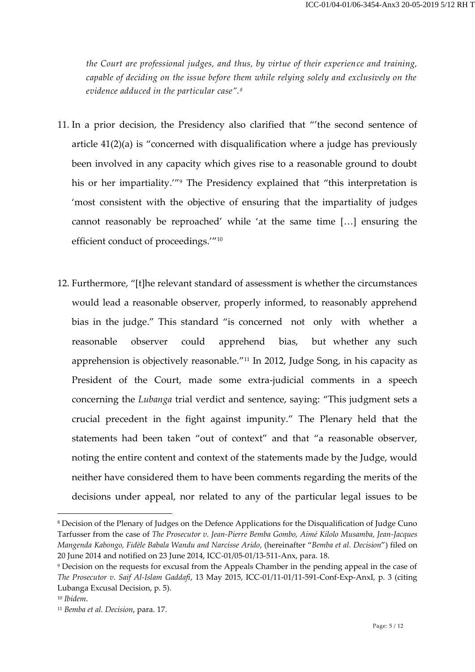*the Court are professional judges, and thus, by virtue of their experience and training, capable of deciding on the issue before them while relying solely and exclusively on the evidence adduced in the particular case".<sup>8</sup>*

- 11. In a prior decision, the Presidency also clarified that "'the second sentence of article 41(2)(a) is "concerned with disqualification where a judge has previously been involved in any capacity which gives rise to a reasonable ground to doubt his or her impartiality."<sup>9</sup> The Presidency explained that "this interpretation is 'most consistent with the objective of ensuring that the impartiality of judges cannot reasonably be reproached' while 'at the same time […] ensuring the efficient conduct of proceedings.'"<sup>10</sup>
- 12. Furthermore, "[t]he relevant standard of assessment is whether the circumstances would lead a reasonable observer, properly informed, to reasonably apprehend bias in the judge." This standard "is concerned not only with whether a reasonable observer could apprehend bias, but whether any such apprehension is objectively reasonable."<sup>11</sup> In 2012, Judge Song, in his capacity as President of the Court, made some extra-judicial comments in a speech concerning the *Lubanga* trial verdict and sentence, saying: "This judgment sets a crucial precedent in the fight against impunity." The Plenary held that the statements had been taken "out of context" and that "a reasonable observer, noting the entire content and context of the statements made by the Judge, would neither have considered them to have been comments regarding the merits of the decisions under appeal, nor related to any of the particular legal issues to be

<sup>8</sup> Decision of the Plenary of Judges on the Defence Applications for the Disqualification of Judge Cuno Tarfusser from the case of *The Prosecutor v. Jean-Pierre Bemba Gombo, Aimé Kilolo Musamba, Jean-Jacques Mangenda Kabongo, Fidèle Babala Wandu and Narcisse Arido*, (hereinafter "*Bemba et al. Decision*") filed on 20 June 2014 and notified on 23 June 2014, ICC-01/05-01/13-511-Anx, para. 18.

<sup>9</sup> Decision on the requests for excusal from the Appeals Chamber in the pending appeal in the case of *The Prosecutor v. Saif Al-Islam Gaddafi*, 13 May 2015, ICC-01/11-01/11-591-Conf-Exp-AnxI, p. 3 (citing Lubanga Excusal Decision, p. 5).

<sup>10</sup> *Ibidem*.

<sup>11</sup> *Bemba et al. Decision*, para. 17.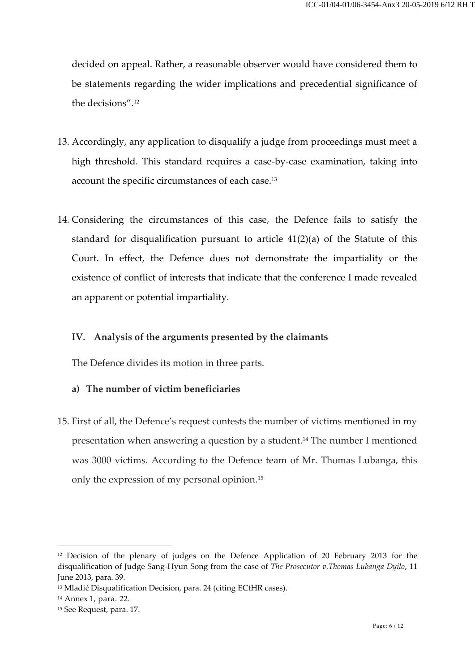decided on appeal. Rather, a reasonable observer would have considered them to be statements regarding the wider implications and precedential significance of the decisions".<sup>12</sup>

- 13. Accordingly, any application to disqualify a judge from proceedings must meet a high threshold. This standard requires a case-by-case examination, taking into account the specific circumstances of each case.<sup>13</sup>
- 14. Considering the circumstances of this case, the Defence fails to satisfy the standard for disqualification pursuant to article 41(2)(a) of the Statute of this Court. In effect, the Defence does not demonstrate the impartiality or the existence of conflict of interests that indicate that the conference I made revealed an apparent or potential impartiality.

## **IV. Analysis of the arguments presented by the claimants**

The Defence divides its motion in three parts.

#### **a) The number of victim beneficiaries**

15. First of all, the Defence's request contests the number of victims mentioned in my presentation when answering a question by a student. <sup>14</sup> The number I mentioned was 3000 victims. According to the Defence team of Mr. Thomas Lubanga, this only the expression of my personal opinion. 15

<sup>&</sup>lt;sup>12</sup> Decision of the plenary of judges on the Defence Application of 20 February 2013 for the disqualification of Judge Sang-Hyun Song from the case of *The Prosecutor v.Thomas Lubanga Dyilo*, 11 June 2013, para. 39.

<sup>&</sup>lt;sup>13</sup> Mladić Disqualification Decision, para. 24 (citing ECtHR cases).

<sup>14</sup> Annex 1, para. 22.

<sup>15</sup> See Request, para. 17.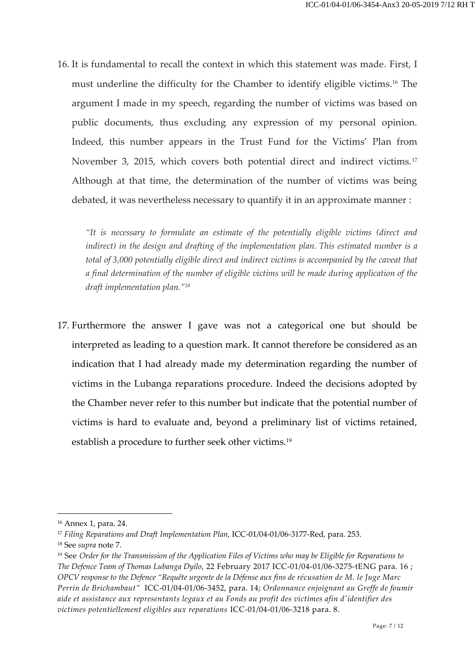16. It is fundamental to recall the context in which this statement was made. First, I must underline the difficulty for the Chamber to identify eligible victims. <sup>16</sup> The argument I made in my speech, regarding the number of victims was based on public documents, thus excluding any expression of my personal opinion. Indeed, this number appears in the Trust Fund for the Victims' Plan from November 3, 2015, which covers both potential direct and indirect victims.<sup>17</sup> Although at that time, the determination of the number of victims was being debated, it was nevertheless necessary to quantify it in an approximate manner :

*"It is necessary to formulate an estimate of the potentially eligible victims (direct and indirect) in the design and drafting of the implementation plan. This estimated number is a total of 3,000 potentially eligible direct and indirect victims is accompanied by the caveat that a final determination of the number of eligible victims will be made during application of the draft implementation plan."<sup>18</sup>*

17. Furthermore the answer I gave was not a categorical one but should be interpreted as leading to a question mark. It cannot therefore be considered as an indication that I had already made my determination regarding the number of victims in the Lubanga reparations procedure. Indeed the decisions adopted by the Chamber never refer to this number but indicate that the potential number of victims is hard to evaluate and, beyond a preliminary list of victims retained, establish a procedure to further seek other victims.<sup>19</sup>

<sup>16</sup> Annex 1, para. 24.

<sup>17</sup> *Filing Reparations and Draft Implementation Plan*, ICC-01/04-01/06-3177-Red, para. 253.

<sup>18</sup> See *supra* note 7.

<sup>19</sup> See *Order for the Transmission of the Application Files of Victims who may be Eligible for Reparations to The Defence Team of Thomas Lubanga Dyilo*, 22 February 2017 ICC-01/04-01/06-3275-tENG para. 16 ; *OPCV response to the Defence "Requête urgente de la Défense aux fins de récusation de M. le Juge Marc Perrin de Brichambaut"* ICC-01/04-01/06-3452, para. 14; *Ordonnance enjoignant au Greffe de foumir aide et assistance aux representants legaux et au Fonds au profit des victimes afin d'identifier des victimes potentiellement eligibles aux reparations* ICC-01/04-01/06-3218 para. 8.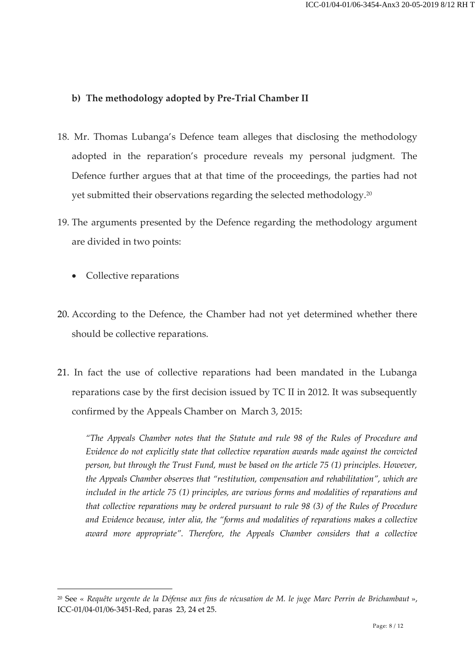# **b) The methodology adopted by Pre-Trial Chamber II**

- 18. Mr. Thomas Lubanga's Defence team alleges that disclosing the methodology adopted in the reparation's procedure reveals my personal judgment. The Defence further argues that at that time of the proceedings, the parties had not yet submitted their observations regarding the selected methodology.<sup>20</sup>
- 19. The arguments presented by the Defence regarding the methodology argument are divided in two points:
	- Collective reparations

-

- 20. According to the Defence, the Chamber had not yet determined whether there should be collective reparations.
- 21. In fact the use of collective reparations had been mandated in the Lubanga reparations case by the first decision issued by TC II in 2012. It was subsequently confirmed by the Appeals Chamber on March 3, 2015:

*"The Appeals Chamber notes that the Statute and rule 98 of the Rules of Procedure and Evidence do not explicitly state that collective reparation awards made against the convicted person, but through the Trust Fund, must be based on the article 75 (1) principles. However, the Appeals Chamber observes that "restitution, compensation and rehabilitation", which are included in the article 75 (1) principles, are various forms and modalities of reparations and that collective reparations may be ordered pursuant to rule 98 (3) of the Rules of Procedure and Evidence because, inter alia, the "forms and modalities of reparations makes a collective award more appropriate". Therefore, the Appeals Chamber considers that a collective* 

<sup>20</sup> See « *Requête urgente de la Défense aux fins de récusation de M. le juge Marc Perrin de Brichambaut* », ICC-01/04-01/06-3451-Red, paras 23, 24 et 25.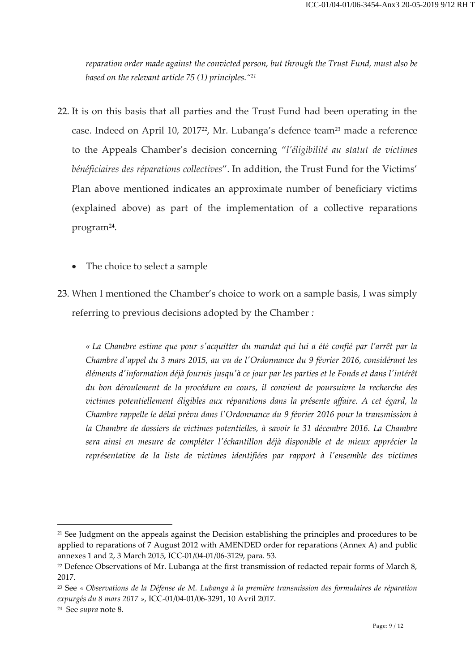*reparation order made against the convicted person, but through the Trust Fund, must also be based on the relevant article 75 (1) principles."<sup>21</sup>*

- 22. It is on this basis that all parties and the Trust Fund had been operating in the case. Indeed on April 10, 201722, Mr. Lubanga's defence team*<sup>23</sup>* made a reference to the Appeals Chamber's decision concerning "*l'éligibilité au statut de victimes bénéficiaires des réparations collectives*". In addition, the Trust Fund for the Victims' Plan above mentioned indicates an approximate number of beneficiary victims (explained above) as part of the implementation of a collective reparations program<sup>24</sup>.
	- The choice to select a sample
- 23. When I mentioned the Chamber's choice to work on a sample basis, I was simply referring to previous decisions adopted by the Chamber *:*

*« La Chambre estime que pour s'acquitter du mandat qui lui a été confié par l'arrêt par la Chambre d'appel du 3 mars 2015, au vu de l'Ordonnance du 9 février 2016, considérant les éléments d'information déjà fournis jusqu'à ce jour par les parties et le Fonds et dans l'intérêt du bon déroulement de la procédure en cours, il convient de poursuivre la recherche des victimes potentiellement éligibles aux réparations dans la présente affaire. A cet égard, la Chambre rappelle le délai prévu dans l'Ordonnance du 9 février 2016 pour la transmission à la Chambre de dossiers de victimes potentielles, à savoir le 31 décembre 2016. La Chambre sera ainsi en mesure de compléter l'échantillon déjà disponible et de mieux apprécier la représentative de la liste de victimes identifiées par rapport à l'ensemble des victimes* 

<sup>&</sup>lt;sup>21</sup> See Judgment on the appeals against the Decision establishing the principles and procedures to be applied to reparations of 7 August 2012 with AMENDED order for reparations (Annex A) and public annexes 1 and 2, 3 March 2015, ICC-01/04-01/06-3129, para. 53.

<sup>&</sup>lt;sup>22</sup> Defence Observations of Mr. Lubanga at the first transmission of redacted repair forms of March 8, 2017.

<sup>23</sup> See *« Observations de la Défense de M. Lubanga à la première transmission des formulaires de réparation expurgés du 8 mars 2017 »,* ICC-01/04-01/06-3291, 10 Avril 2017.

<sup>24</sup> See *supra* note 8.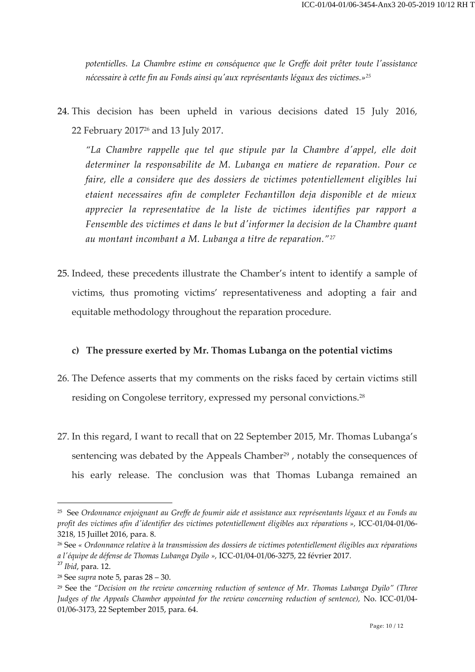*potentielles. La Chambre estime en conséquence que le Greffe doit prêter toute l'assistance nécessaire à cette fin au Fonds ainsi qu'aux représentants légaux des victimes.»<sup>25</sup>*

24. This decision has been upheld in various decisions dated 15 July 2016, 22 February 2017<sup>26</sup> and 13 July 2017.

*"La Chambre rappelle que tel que stipule par la Chambre d'appel, elle doit determiner la responsabilite de M. Lubanga en matiere de reparation. Pour ce faire, elle a considere que des dossiers de victimes potentiellement eligibles lui etaient necessaires afin de completer Fechantillon deja disponible et de mieux apprecier la representative de la liste de victimes identifies par rapport a Fensemble des victimes et dans le but d'informer la decision de la Chambre quant au montant incombant a M. Lubanga a titre de reparation."<sup>27</sup>*

25. Indeed, these precedents illustrate the Chamber's intent to identify a sample of victims, thus promoting victims' representativeness and adopting a fair and equitable methodology throughout the reparation procedure.

## **c) The pressure exerted by Mr. Thomas Lubanga on the potential victims**

- 26. The Defence asserts that my comments on the risks faced by certain victims still residing on Congolese territory, expressed my personal convictions.<sup>28</sup>
- 27. In this regard, I want to recall that on 22 September 2015, Mr. Thomas Lubanga's sentencing was debated by the Appeals Chamber<sup>29</sup>, notably the consequences of his early release. The conclusion was that Thomas Lubanga remained an

<sup>&</sup>lt;sup>25</sup> See Ordonnance enjoignant au Greffe de foumir aide et assistance aux représentants légaux et au Fonds au *profit des victimes afin d'identifier des victimes potentiellement éligibles aux réparations »,* ICC-01/04-01/06- 3218, 15 Juillet 2016, para. 8.

<sup>26</sup> See *« Ordonnance relative à la transmission des dossiers de victimes potentiellement éligibles aux réparations a l'équipe de défense de Thomas Lubanga Dyilo »,* ICC-01/04-01/06-3275, 22 février 2017.

<sup>27</sup> *Ibid*, para. 12.

<sup>28</sup> See *supra* note 5, paras 28 – 30.

<sup>29</sup> See the *"Decision on the review concerning reduction of sentence of Mr. Thomas Lubanga Dyilo" (Three Judges of the Appeals Chamber appointed for the review concerning reduction of sentence),* No. ICC-01/04- 01/06-3173, 22 September 2015, para. 64.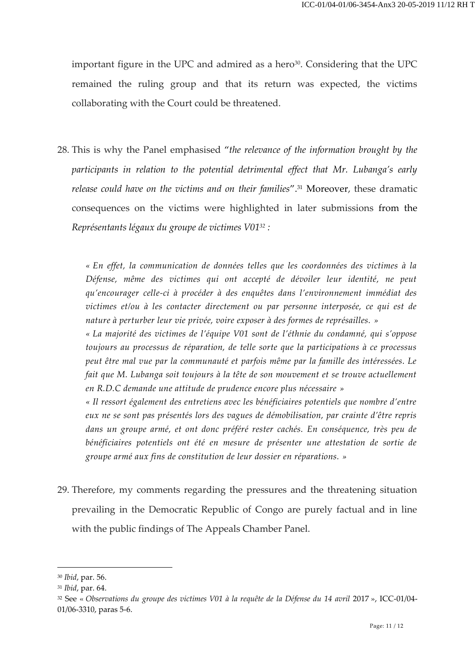important figure in the UPC and admired as a hero<sup>30</sup>. Considering that the UPC remained the ruling group and that its return was expected, the victims collaborating with the Court could be threatened.

28. This is why the Panel emphasised "*the relevance of the information brought by the participants in relation to the potential detrimental effect that Mr. Lubanga's early release could have on the victims and on their families*".<sup>31</sup> Moreover, these dramatic consequences on the victims were highlighted in later submissions from the *Représentants légaux du groupe de victimes V01<sup>32</sup> :*

*« En effet, la communication de données telles que les coordonnées des victimes à la Défense, même des victimes qui ont accepté de dévoiler leur identité, ne peut qu'encourager celle-ci à procéder à des enquêtes dans l'environnement immédiat des victimes et/ou à les contacter directement ou par personne interposée, ce qui est de nature à perturber leur vie privée, voire exposer à des formes de représailles. »*

*« La majorité des victimes de l'équipe V01 sont de l'éthnie du condamné, qui s'oppose toujours au processus de réparation, de telle sorte que la participations à ce processus peut être mal vue par la communauté et parfois même par la famille des intéressées. Le fait que M. Lubanga soit toujours à la tête de son mouvement et se trouve actuellement en R.D.C demande une attitude de prudence encore plus nécessaire »*

*« Il ressort également des entretiens avec les bénéficiaires potentiels que nombre d'entre eux ne se sont pas présentés lors des vagues de démobilisation, par crainte d'être repris dans un groupe armé, et ont donc préféré rester cachés. En conséquence, très peu de bénéficiaires potentiels ont été en mesure de présenter une attestation de sortie de groupe armé aux fins de constitution de leur dossier en réparations. »*

29. Therefore, my comments regarding the pressures and the threatening situation prevailing in the Democratic Republic of Congo are purely factual and in line with the public findings of The Appeals Chamber Panel.

<sup>30</sup> *Ibid*, par. 56.

<sup>31</sup> *Ibid*, par. 64.

<sup>&</sup>lt;sup>32</sup> See « *Observations du groupe des victimes V01 à la requête de la Défense du 14 avril 2017 »*, ICC-01/04-01/06-3310, paras 5-6.